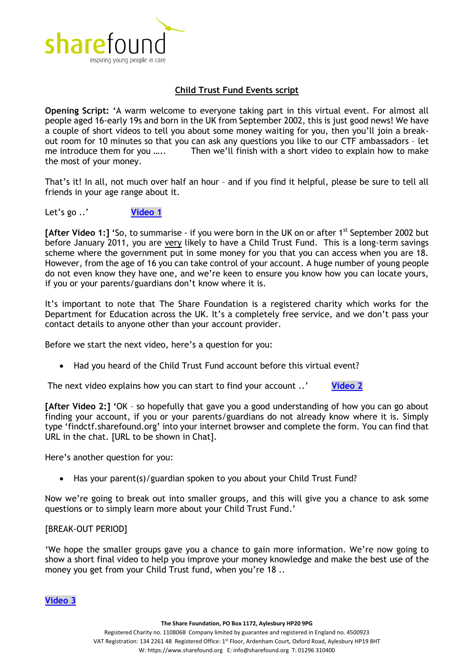

## **Child Trust Fund Events script**

**Opening Script: '**A warm welcome to everyone taking part in this virtual event. For almost all people aged 16-early 19s and born in the UK from September 2002, this is just good news! We have a couple of short videos to tell you about some money waiting for you, then you'll join a breakout room for 10 minutes so that you can ask any questions you like to our CTF ambassadors – let me introduce them for you ..... Then we'll finish with a short video to explain how to make the most of your money.

That's it! In all, not much over half an hour – and if you find it helpful, please be sure to tell all friends in your age range about it.

Let's go ..' **[Video 1](https://youtu.be/stdArh308tk)**

**[After Video 1:] '**So, to summarise - if you were born in the UK on or after 1st September 2002 but before January 2011, you are very likely to have a Child Trust Fund. This is a long-term savings scheme where the government put in some money for you that you can access when you are 18. However, from the age of 16 you can take control of your account. A huge number of young people do not even know they have one, and we're keen to ensure you know how you can locate yours, if you or your parents/guardians don't know where it is.

It's important to note that The Share Foundation is a registered charity which works for the Department for Education across the UK. It's a completely free service, and we don't pass your contact details to anyone other than your account provider.

Before we start the next video, here's a question for you:

• Had you heard of the Child Trust Fund account before this virtual event?

The next video explains how you can start to find your account ..' **[Video 2](https://youtu.be/ZwdHPjy0sVg)**

**[After Video 2:] '**OK – so hopefully that gave you a good understanding of how you can go about finding your account, if you or your parents/guardians do not already know where it is. Simply type 'findctf.sharefound.org' into your internet browser and complete the form. You can find that URL in the chat. [URL to be shown in Chat].

Here's another question for you:

• Has your parent(s)/guardian spoken to you about your Child Trust Fund?

Now we're going to break out into smaller groups, and this will give you a chance to ask some questions or to simply learn more about your Child Trust Fund.'

## [BREAK-OUT PERIOD]

'We hope the smaller groups gave you a chance to gain more information. We're now going to show a short final video to help you improve your money knowledge and make the best use of the money you get from your Child Trust fund, when you're 18 ..